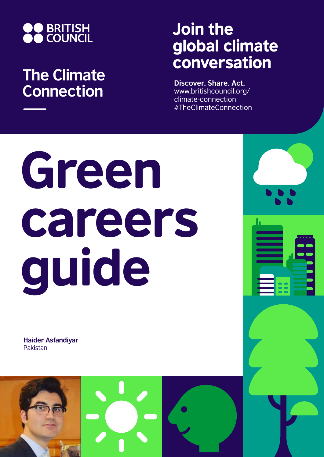

## **The Climate Connection**

## Join the global climate conversation

**Discover. Share. Act.** www.britishcouncil.org/ climate-connection #TheClimateConnection

# Green careers guide

**Haider Asfandiyar** Pakistan

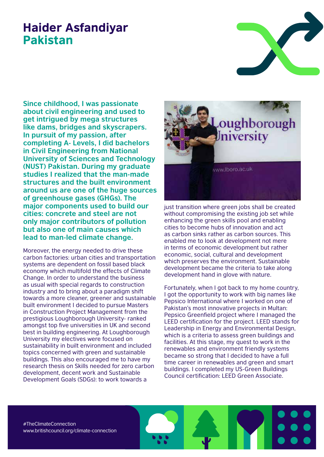### Haider Asfandiyar Pakistan

**Since childhood, I was passionate about civil engineering and used to get intrigued by mega structures like dams, bridges and skyscrapers. In pursuit of my passion, after completing A- Levels, I did bachelors in Civil Engineering from National University of Sciences and Technology (NUST) Pakistan. During my graduate studies I realized that the man-made structures and the built environment around us are one of the huge sources of greenhouse gases (GHGs). The major components used to build our cities: concrete and steel are not only major contributors of pollution but also one of main causes which lead to man-led climate change.**

Moreover, the energy needed to drive these carbon factories: urban cities and transportation systems are dependent on fossil based black economy which multifold the effects of Climate Change. In order to understand the business as usual with special regards to construction industry and to bring about a paradigm shift towards a more cleaner, greener and sustainable built environment I decided to pursue Masters in Construction Project Management from the prestigious Loughborough University- ranked amongst top five universities in UK and second best in building engineering. At Loughborough University my electives were focused on sustainability in built environment and included topics concerned with green and sustainable buildings. This also encouraged me to have my research thesis on Skills needed for zero carbon development, decent work and Sustainable Development Goals (SDGs): to work towards a



just transition where green jobs shall be created without compromising the existing job set while enhancing the green skills pool and enabling cities to become hubs of innovation and act as carbon sinks rather as carbon sources. This enabled me to look at development not mere in terms of economic development but rather economic, social, cultural and development which preserves the environment. Sustainable development became the criteria to take along development hand in glove with nature.

Fortunately, when I got back to my home country, I got the opportunity to work with big names like Pepsico International where I worked on one of Pakistan's most innovative projects in Multan: Pepsico Greenfield project where I managed the LEED certification for the project. LEED stands for Leadership in Energy and Environmental Design, which is a criteria to assess green buildings and facilities. At this stage, my quest to work in the renewables and environment friendly systems became so strong that I decided to have a full time career in renewables and green and smart buildings. I completed my US-Green Buildings Council certification: LEED Green Associate.

#TheClimateConnection www.britishcouncil.org/climate-connection

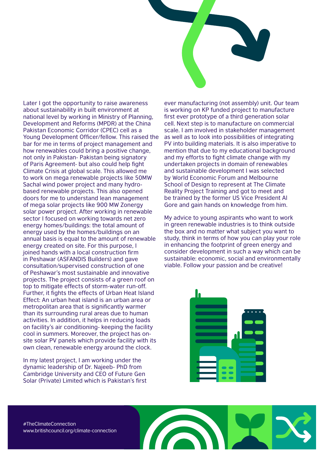Later I got the opportunity to raise awareness about sustainability in built environment at national level by working in Ministry of Planning, Development and Reforms (MPDR) at the China Pakistan Economic Corridor (CPEC) cell as a Young Development Officer/fellow. This raised the bar for me in terms of project management and how renewables could bring a positive change, not only in Pakistan- Pakistan being signatory of Paris Agreement- but also could help fight Climate Crisis at global scale. This allowed me to work on mega renewable projects like 50MW Sachal wind power project and many hydrobased renewable projects. This also opened doors for me to understand lean management of mega solar projects like 900 MW Zonergy solar power project. After working in renewable sector I focused on working towards net zero energy homes/buildings: the total amount of energy used by the homes/buildings on an annual basis is equal to the amount of renewable energy created on site. For this purpose, I joined hands with a local construction firm in Peshawar (ASFANDIS Builders) and gave consultation/supervised construction of one of Peshawar's most sustainable and innovative projects. The project consists of a green roof on top to mitigate effects of storm-water run-off. Further, it fights the effects of Urban Heat Island Effect: An urban heat island is an urban area or metropolitan area that is significantly warmer than its surrounding rural areas due to human activities. In addition, it helps in reducing loads on facility's air conditioning- keeping the facility cool in summers. Moreover, the project has onsite solar PV panels which provide facility with its own clean, renewable energy around the clock.

In my latest project, I am working under the dynamic leadership of Dr. Najeeb- PhD from Cambridge University and CEO of Future Gen Solar (Private) Limited which is Pakistan's first ever manufacturing (not assembly) unit. Our team is working on KP funded project to manufacture first ever prototype of a third generation solar cell. Next step is to manufacture on commercial scale. I am involved in stakeholder management as well as to look into possibilities of integrating PV into building materials. It is also imperative to mention that due to my educational background and my efforts to fight climate change with my undertaken projects in domain of renewables and sustainable development I was selected by World Economic Forum and Melbourne School of Design to represent at The Climate Reality Project Training and got to meet and be trained by the former US Vice President Al Gore and gain hands on knowledge from him.

My advice to young aspirants who want to work in green renewable industries is to think outside the box and no matter what subject you want to study, think in terms of how you can play your role in enhancing the footprint of green energy and consider development in such a way which can be sustainable: economic, social and environmentally viable. Follow your passion and be creative!



#TheClimateConnection www.britishcouncil.org/climate-connection